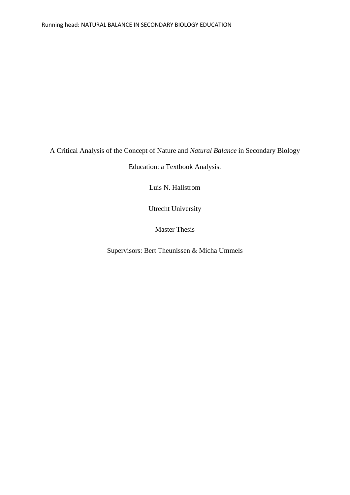A Critical Analysis of the Concept of Nature and *Natural Balance* in Secondary Biology

Education: a Textbook Analysis.

Luis N. Hallstrom

Utrecht University

Master Thesis

Supervisors: Bert Theunissen & Micha Ummels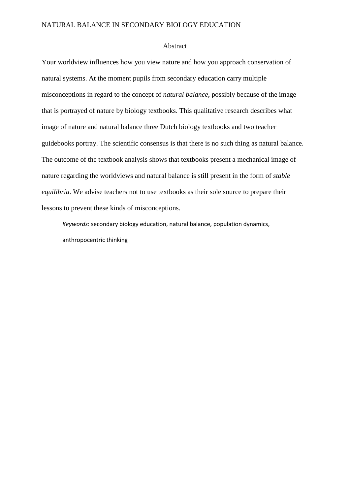#### Abstract

Your worldview influences how you view nature and how you approach conservation of natural systems. At the moment pupils from secondary education carry multiple misconceptions in regard to the concept of *natural balance*, possibly because of the image that is portrayed of nature by biology textbooks. This qualitative research describes what image of nature and natural balance three Dutch biology textbooks and two teacher guidebooks portray. The scientific consensus is that there is no such thing as natural balance. The outcome of the textbook analysis shows that textbooks present a mechanical image of nature regarding the worldviews and natural balance is still present in the form of *stable equilibria*. We advise teachers not to use textbooks as their sole source to prepare their lessons to prevent these kinds of misconceptions.

*Keywords*: secondary biology education, natural balance, population dynamics, anthropocentric thinking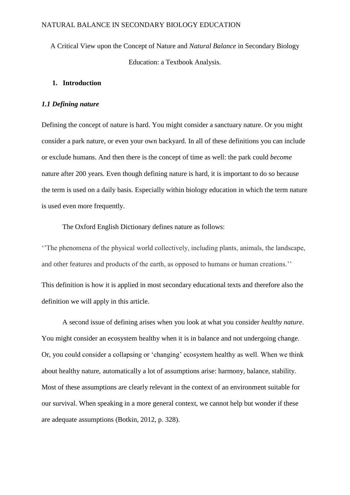A Critical View upon the Concept of Nature and *Natural Balance* in Secondary Biology Education: a Textbook Analysis.

## **1. Introduction**

### *1.1 Defining nature*

Defining the concept of nature is hard. You might consider a sanctuary nature. Or you might consider a park nature, or even your own backyard. In all of these definitions you can include or exclude humans. And then there is the concept of time as well: the park could *become*  nature after 200 years. Even though defining nature is hard, it is important to do so because the term is used on a daily basis. Especially within biology education in which the term nature is used even more frequently.

The Oxford English Dictionary defines nature as follows:

''The phenomena of the physical world collectively, including plants, animals, the landscape, and other features and products of the earth, as opposed to humans or human creations.'' This definition is how it is applied in most secondary educational texts and therefore also the

definition we will apply in this article.

A second issue of defining arises when you look at what you consider *healthy nature*. You might consider an ecosystem healthy when it is in balance and not undergoing change. Or, you could consider a collapsing or 'changing' ecosystem healthy as well. When we think about healthy nature, automatically a lot of assumptions arise: harmony, balance, stability. Most of these assumptions are clearly relevant in the context of an environment suitable for our survival. When speaking in a more general context, we cannot help but wonder if these are adequate assumptions (Botkin, 2012, p. 328).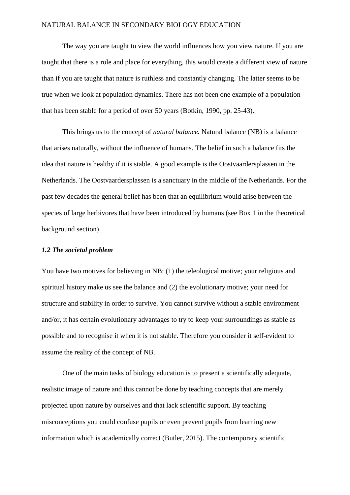The way you are taught to view the world influences how you view nature. If you are taught that there is a role and place for everything, this would create a different view of nature than if you are taught that nature is ruthless and constantly changing. The latter seems to be true when we look at population dynamics. There has not been one example of a population that has been stable for a period of over 50 years (Botkin, 1990, pp. 25-43).

This brings us to the concept of *natural balance.* Natural balance (NB) is a balance that arises naturally, without the influence of humans. The belief in such a balance fits the idea that nature is healthy if it is stable. A good example is the Oostvaardersplassen in the Netherlands. The Oostvaardersplassen is a sanctuary in the middle of the Netherlands. For the past few decades the general belief has been that an equilibrium would arise between the species of large herbivores that have been introduced by humans (see Box 1 in the theoretical background section).

## *1.2 The societal problem*

You have two motives for believing in NB: (1) the teleological motive; your religious and spiritual history make us see the balance and (2) the evolutionary motive; your need for structure and stability in order to survive. You cannot survive without a stable environment and/or, it has certain evolutionary advantages to try to keep your surroundings as stable as possible and to recognise it when it is not stable. Therefore you consider it self-evident to assume the reality of the concept of NB.

One of the main tasks of biology education is to present a scientifically adequate, realistic image of nature and this cannot be done by teaching concepts that are merely projected upon nature by ourselves and that lack scientific support. By teaching misconceptions you could confuse pupils or even prevent pupils from learning new information which is academically correct (Butler, 2015). The contemporary scientific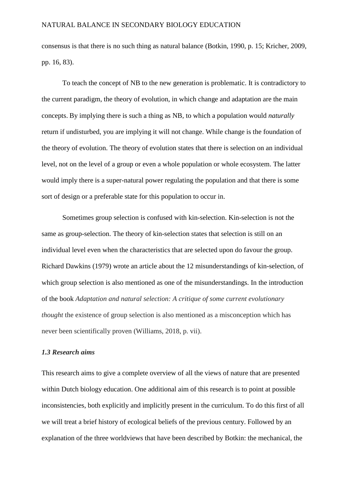consensus is that there is no such thing as natural balance (Botkin, 1990, p. 15; Kricher, 2009, pp. 16, 83).

To teach the concept of NB to the new generation is problematic. It is contradictory to the current paradigm, the theory of evolution, in which change and adaptation are the main concepts. By implying there is such a thing as NB*,* to which a population would *naturally* return if undisturbed, you are implying it will not change. While change is the foundation of the theory of evolution. The theory of evolution states that there is selection on an individual level, not on the level of a group or even a whole population or whole ecosystem. The latter would imply there is a super-natural power regulating the population and that there is some sort of design or a preferable state for this population to occur in.

Sometimes group selection is confused with kin-selection. Kin-selection is not the same as group-selection. The theory of kin-selection states that selection is still on an individual level even when the characteristics that are selected upon do favour the group. Richard Dawkins (1979) wrote an article about the 12 misunderstandings of kin-selection, of which group selection is also mentioned as one of the misunderstandings. In the introduction of the book *Adaptation and natural selection: A critique of some current evolutionary thought* the existence of group selection is also mentioned as a misconception which has never been scientifically proven (Williams, 2018, p. vii).

## *1.3 Research aims*

This research aims to give a complete overview of all the views of nature that are presented within Dutch biology education. One additional aim of this research is to point at possible inconsistencies, both explicitly and implicitly present in the curriculum. To do this first of all we will treat a brief history of ecological beliefs of the previous century. Followed by an explanation of the three worldviews that have been described by Botkin: the mechanical, the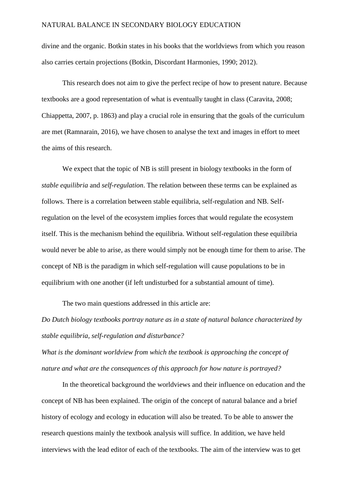divine and the organic. Botkin states in his books that the worldviews from which you reason also carries certain projections (Botkin, Discordant Harmonies, 1990; 2012).

This research does not aim to give the perfect recipe of how to present nature. Because textbooks are a good representation of what is eventually taught in class (Caravita, 2008; Chiappetta, 2007, p. 1863) and play a crucial role in ensuring that the goals of the curriculum are met (Ramnarain, 2016), we have chosen to analyse the text and images in effort to meet the aims of this research.

We expect that the topic of NB is still present in biology textbooks in the form of *stable equilibria* and *self-regulation*. The relation between these terms can be explained as follows. There is a correlation between stable equilibria, self-regulation and NB. Selfregulation on the level of the ecosystem implies forces that would regulate the ecosystem itself. This is the mechanism behind the equilibria. Without self-regulation these equilibria would never be able to arise, as there would simply not be enough time for them to arise. The concept of NB is the paradigm in which self-regulation will cause populations to be in equilibrium with one another (if left undisturbed for a substantial amount of time).

The two main questions addressed in this article are:

*Do Dutch biology textbooks portray nature as in a state of natural balance characterized by stable equilibria, self-regulation and disturbance?*

*What is the dominant worldview from which the textbook is approaching the concept of nature and what are the consequences of this approach for how nature is portrayed?* 

In the theoretical background the worldviews and their influence on education and the concept of NB has been explained. The origin of the concept of natural balance and a brief history of ecology and ecology in education will also be treated. To be able to answer the research questions mainly the textbook analysis will suffice. In addition, we have held interviews with the lead editor of each of the textbooks. The aim of the interview was to get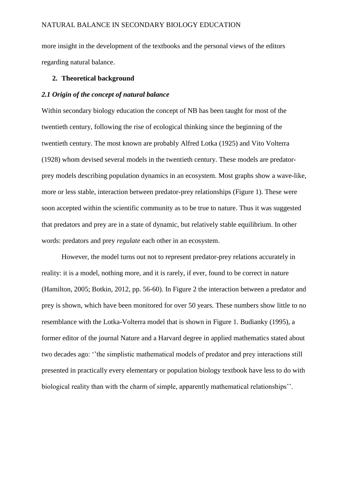more insight in the development of the textbooks and the personal views of the editors regarding natural balance.

## **2. Theoretical background**

## *2.1 Origin of the concept of natural balance*

Within secondary biology education the concept of NB has been taught for most of the twentieth century, following the rise of ecological thinking since the beginning of the twentieth century. The most known are probably Alfred Lotka (1925) and Vito Volterra (1928) whom devised several models in the twentieth century. These models are predatorprey models describing population dynamics in an ecosystem. Most graphs show a wave-like, more or less stable, interaction between predator-prey relationships (Figure 1). These were soon accepted within the scientific community as to be true to nature. Thus it was suggested that predators and prey are in a state of dynamic, but relatively stable equilibrium. In other words: predators and prey *regulate* each other in an ecosystem.

However, the model turns out not to represent predator-prey relations accurately in reality: it is a model, nothing more, and it is rarely, if ever, found to be correct in nature (Hamilton, 2005; Botkin, 2012, pp. 56-60). In Figure 2 the interaction between a predator and prey is shown, which have been monitored for over 50 years. These numbers show little to no resemblance with the Lotka-Volterra model that is shown in Figure 1. Budianky (1995), a former editor of the journal Nature and a Harvard degree in applied mathematics stated about two decades ago: ''the simplistic mathematical models of predator and prey interactions still presented in practically every elementary or population biology textbook have less to do with biological reality than with the charm of simple, apparently mathematical relationships''.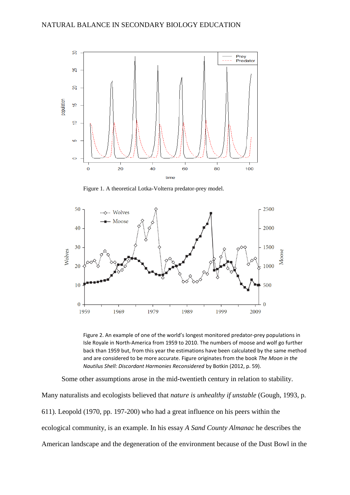

Figure 1. A theoretical Lotka-Volterra predator-prey model.



Figure 2. An example of one of the world's longest monitored predator-prey populations in Isle Royale in North-America from 1959 to 2010. The numbers of moose and wolf go further back than 1959 but, from this year the estimations have been calculated by the same method and are considered to be more accurate. Figure originates from the book *The Moon in the Nautilus Shell: Discordant Harmonies Reconsidered* by Botkin (2012, p. 59).

Some other assumptions arose in the mid-twentieth century in relation to stability.

Many naturalists and ecologists believed that *nature is unhealthy if unstable* (Gough, 1993, p. 611). Leopold (1970, pp. 197-200) who had a great influence on his peers within the ecological community, is an example. In his essay *A Sand County Almanac* he describes the American landscape and the degeneration of the environment because of the Dust Bowl in the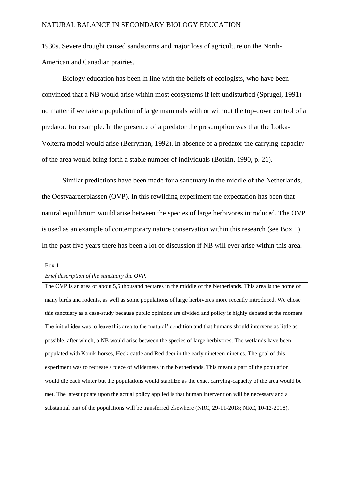1930s. Severe drought caused sandstorms and major loss of agriculture on the North-American and Canadian prairies.

Biology education has been in line with the beliefs of ecologists, who have been convinced that a NB would arise within most ecosystems if left undisturbed (Sprugel, 1991) no matter if we take a population of large mammals with or without the top-down control of a predator, for example. In the presence of a predator the presumption was that the Lotka-Volterra model would arise (Berryman, 1992). In absence of a predator the carrying-capacity of the area would bring forth a stable number of individuals (Botkin, 1990, p. 21).

Similar predictions have been made for a sanctuary in the middle of the Netherlands, the Oostvaarderplassen (OVP). In this rewilding experiment the expectation has been that natural equilibrium would arise between the species of large herbivores introduced. The OVP is used as an example of contemporary nature conservation within this research (see Box 1). In the past five years there has been a lot of discussion if NB will ever arise within this area.

#### Box 1

#### *Brief description of the sanctuary the OVP.*

The OVP is an area of about 5,5 thousand hectares in the middle of the Netherlands. This area is the home of many birds and rodents, as well as some populations of large herbivores more recently introduced. We chose this sanctuary as a case-study because public opinions are divided and policy is highly debated at the moment. The initial idea was to leave this area to the 'natural' condition and that humans should intervene as little as possible, after which, a NB would arise between the species of large herbivores. The wetlands have been populated with Konik-horses, Heck-cattle and Red deer in the early nineteen-nineties. The goal of this experiment was to recreate a piece of wilderness in the Netherlands. This meant a part of the population would die each winter but the populations would stabilize as the exact carrying-capacity of the area would be met. The latest update upon the actual policy applied is that human intervention will be necessary and a substantial part of the populations will be transferred elsewhere (NRC, 29-11-2018; NRC, 10-12-2018).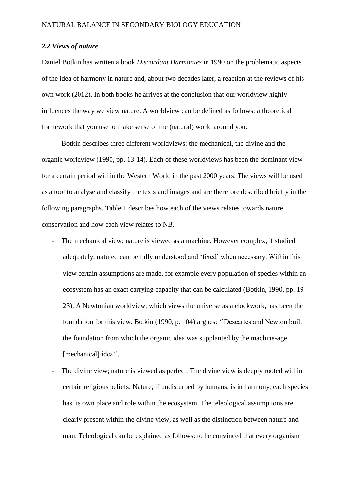#### *2.2 Views of nature*

Daniel Botkin has written a book *Discordant Harmonies* in 1990 on the problematic aspects of the idea of harmony in nature and, about two decades later, a reaction at the reviews of his own work (2012). In both books he arrives at the conclusion that our worldview highly influences the way we view nature. A worldview can be defined as follows: a theoretical framework that you use to make sense of the (natural) world around you.

Botkin describes three different worldviews: the mechanical, the divine and the organic worldview (1990, pp. 13-14). Each of these worldviews has been the dominant view for a certain period within the Western World in the past 2000 years. The views will be used as a tool to analyse and classify the texts and images and are therefore described briefly in the following paragraphs. Table 1 describes how each of the views relates towards nature conservation and how each view relates to NB.

- The mechanical view; nature is viewed as a machine. However complex, if studied adequately, natured can be fully understood and 'fixed' when necessary. Within this view certain assumptions are made, for example every population of species within an ecosystem has an exact carrying capacity that can be calculated (Botkin, 1990, pp. 19- 23). A Newtonian worldview, which views the universe as a clockwork, has been the foundation for this view. Botkin (1990, p. 104) argues: ''Descartes and Newton built the foundation from which the organic idea was supplanted by the machine-age [mechanical] idea''.
- The divine view; nature is viewed as perfect. The divine view is deeply rooted within certain religious beliefs. Nature, if undisturbed by humans, is in harmony; each species has its own place and role within the ecosystem. The teleological assumptions are clearly present within the divine view, as well as the distinction between nature and man. Teleological can be explained as follows: to be convinced that every organism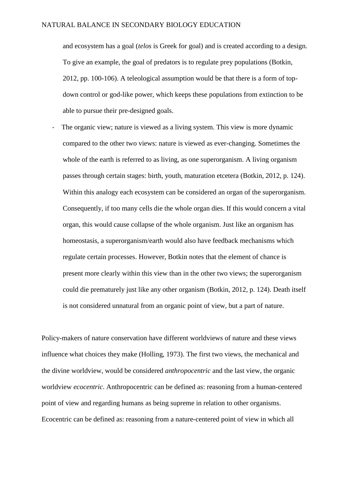and ecosystem has a goal (*telos* is Greek for goal) and is created according to a design. To give an example, the goal of predators is to regulate prey populations (Botkin, 2012, pp. 100-106). A teleological assumption would be that there is a form of topdown control or god-like power, which keeps these populations from extinction to be able to pursue their pre-designed goals.

- The organic view; nature is viewed as a living system. This view is more dynamic compared to the other two views: nature is viewed as ever-changing. Sometimes the whole of the earth is referred to as living, as one superorganism. A living organism passes through certain stages: birth, youth, maturation etcetera (Botkin, 2012, p. 124). Within this analogy each ecosystem can be considered an organ of the superorganism. Consequently, if too many cells die the whole organ dies. If this would concern a vital organ, this would cause collapse of the whole organism. Just like an organism has homeostasis, a superorganism/earth would also have feedback mechanisms which regulate certain processes. However, Botkin notes that the element of chance is present more clearly within this view than in the other two views; the superorganism could die prematurely just like any other organism (Botkin, 2012, p. 124). Death itself is not considered unnatural from an organic point of view, but a part of nature.

Policy-makers of nature conservation have different worldviews of nature and these views influence what choices they make (Holling, 1973). The first two views, the mechanical and the divine worldview, would be considered *anthropocentric* and the last view, the organic worldview *ecocentric*. Anthropocentric can be defined as: reasoning from a human-centered point of view and regarding humans as being supreme in relation to other organisms. Ecocentric can be defined as: reasoning from a nature-centered point of view in which all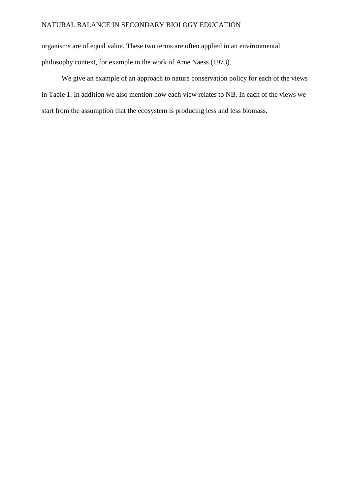organisms are of equal value. These two terms are often applied in an environmental philosophy context, for example in the work of Arne Naess (1973).

We give an example of an approach to nature conservation policy for each of the views in Table 1. In addition we also mention how each view relates to NB. In each of the views we start from the assumption that the ecosystem is producing less and less biomass.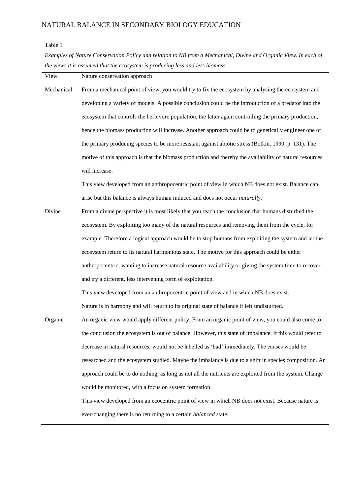#### Table 1

l,

*Examples of Nature Conservation Policy and relation to NB from a Mechanical, Divine and Organic View. In each of the views it is assumed that the ecosystem is producing less and less biomass.*

| View       | Nature conservation approach                                                                             |
|------------|----------------------------------------------------------------------------------------------------------|
| Mechanical | From a mechanical point of view, you would try to fix the ecosystem by analysing the ecosystem and       |
|            | developing a variety of models. A possible conclusion could be the introduction of a predator into the   |
|            | ecosystem that controls the herbivore population, the latter again controlling the primary production,   |
|            | hence the biomass production will increase. Another approach could be to genetically engineer one of     |
|            | the primary producing species to be more resistant against abiotic stress (Botkin, 1990, p. 131). The    |
|            | motive of this approach is that the biomass production and thereby the availability of natural resources |
|            | will increase.                                                                                           |
|            | This view developed from an anthropocentric point of view in which NB does not exist. Balance can        |
|            | arise but this balance is always human induced and does not occur naturally.                             |
| Divine     | From a divine perspective it is most likely that you reach the conclusion that humans disturbed the      |
|            | ecosystem. By exploiting too many of the natural resources and removing them from the cycle, for         |
|            | example. Therefore a logical approach would be to stop humans from exploiting the system and let the     |
|            | ecosystem return to its natural harmonious state. The motive for this approach could be either           |
|            | anthropocentric, wanting to increase natural resource availability or giving the system time to recover  |
|            | and try a different, less intervening form of exploitation.                                              |
|            | This view developed from an anthropocentric point of view and in which NB does exist.                    |
|            | Nature is in harmony and will return to its original state of balance if left undisturbed.               |
| Organic    | An organic view would apply different policy. From an organic point of view, you could also come to      |
|            | the conclusion the ecosystem is out of balance. However, this state of imbalance, if this would refer to |
|            | decrease in natural resources, would not be labelled as 'bad' immediately. The causes would be           |
|            | researched and the ecosystem studied. Maybe the imbalance is due to a shift in species composition. An   |
|            | approach could be to do nothing, as long as not all the nutrients are exploited from the system. Change  |
|            | would be monitored, with a focus on system formation.                                                    |
|            | This view developed from an ecocentric point of view in which NB does not exist. Because nature is       |
|            | ever-changing there is no returning to a certain <i>balanced</i> state.                                  |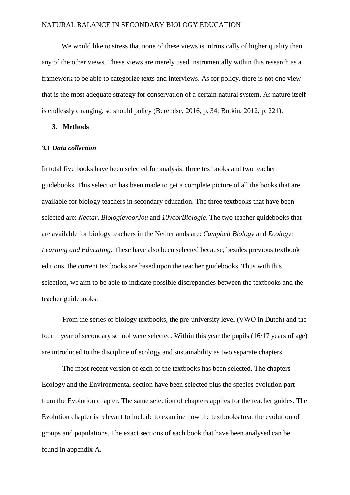We would like to stress that none of these views is intrinsically of higher quality than any of the other views. These views are merely used instrumentally within this research as a framework to be able to categorize texts and interviews. As for policy, there is not one view that is the most adequate strategy for conservation of a certain natural system. As nature itself is endlessly changing, so should policy (Berendse, 2016, p. 34; Botkin, 2012, p. 221).

## **3. Methods**

#### *3.1 Data collection*

In total five books have been selected for analysis: three textbooks and two teacher guidebooks. This selection has been made to get a complete picture of all the books that are available for biology teachers in secondary education. The three textbooks that have been selected are: *Nectar*, *BiologievoorJou* and *10voorBiologie*. The two teacher guidebooks that are available for biology teachers in the Netherlands are: *Campbell Biology* and *Ecology: Learning and Educating*. These have also been selected because, besides previous textbook editions, the current textbooks are based upon the teacher guidebooks. Thus with this selection, we aim to be able to indicate possible discrepancies between the textbooks and the teacher guidebooks.

From the series of biology textbooks, the pre-university level (VWO in Dutch) and the fourth year of secondary school were selected. Within this year the pupils (16/17 years of age) are introduced to the discipline of ecology and sustainability as two separate chapters.

The most recent version of each of the textbooks has been selected. The chapters Ecology and the Environmental section have been selected plus the species evolution part from the Evolution chapter. The same selection of chapters applies for the teacher guides. The Evolution chapter is relevant to include to examine how the textbooks treat the evolution of groups and populations. The exact sections of each book that have been analysed can be found in appendix A.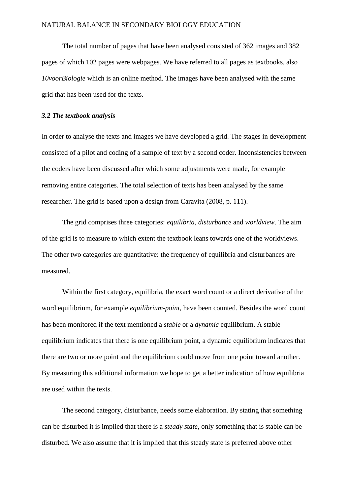The total number of pages that have been analysed consisted of 362 images and 382 pages of which 102 pages were webpages. We have referred to all pages as textbooks, also *10voorBiologie* which is an online method. The images have been analysed with the same grid that has been used for the texts.

## *3.2 The textbook analysis*

In order to analyse the texts and images we have developed a grid. The stages in development consisted of a pilot and coding of a sample of text by a second coder. Inconsistencies between the coders have been discussed after which some adjustments were made, for example removing entire categories. The total selection of texts has been analysed by the same researcher. The grid is based upon a design from Caravita (2008, p. 111).

The grid comprises three categories: *equilibria, disturbance* and *worldview*. The aim of the grid is to measure to which extent the textbook leans towards one of the worldviews. The other two categories are quantitative: the frequency of equilibria and disturbances are measured.

Within the first category, equilibria, the exact word count or a direct derivative of the word equilibrium, for example *equilibrium-point*, have been counted. Besides the word count has been monitored if the text mentioned a *stable* or a *dynamic* equilibrium. A stable equilibrium indicates that there is one equilibrium point, a dynamic equilibrium indicates that there are two or more point and the equilibrium could move from one point toward another. By measuring this additional information we hope to get a better indication of how equilibria are used within the texts.

The second category, disturbance, needs some elaboration. By stating that something can be disturbed it is implied that there is a *steady state,* only something that is stable can be disturbed. We also assume that it is implied that this steady state is preferred above other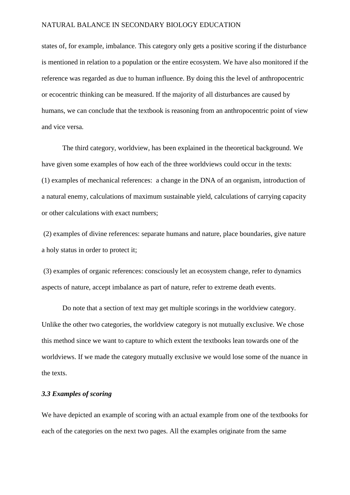states of, for example, imbalance. This category only gets a positive scoring if the disturbance is mentioned in relation to a population or the entire ecosystem. We have also monitored if the reference was regarded as due to human influence. By doing this the level of anthropocentric or ecocentric thinking can be measured. If the majority of all disturbances are caused by humans, we can conclude that the textbook is reasoning from an anthropocentric point of view and vice versa.

The third category, worldview, has been explained in the theoretical background. We have given some examples of how each of the three worldviews could occur in the texts: (1) examples of mechanical references: a change in the DNA of an organism, introduction of a natural enemy, calculations of maximum sustainable yield, calculations of carrying capacity or other calculations with exact numbers;

(2) examples of divine references: separate humans and nature, place boundaries, give nature a holy status in order to protect it;

(3) examples of organic references: consciously let an ecosystem change, refer to dynamics aspects of nature, accept imbalance as part of nature, refer to extreme death events.

Do note that a section of text may get multiple scorings in the worldview category. Unlike the other two categories, the worldview category is not mutually exclusive. We chose this method since we want to capture to which extent the textbooks lean towards one of the worldviews. If we made the category mutually exclusive we would lose some of the nuance in the texts.

## *3.3 Examples of scoring*

We have depicted an example of scoring with an actual example from one of the textbooks for each of the categories on the next two pages. All the examples originate from the same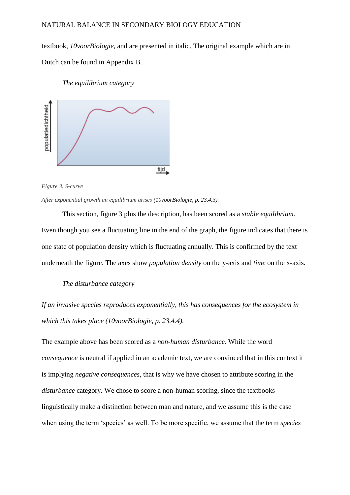textbook, *10voorBiologie,* and are presented in italic. The original example which are in Dutch can be found in Appendix B.

### *The equilibrium category*



*Figure 3. S-curve*

*After exponential growth an equilibrium arises (10voorBiologie, p. 23.4.3).*

This section, figure 3 plus the description, has been scored as a *stable equilibrium*. Even though you see a fluctuating line in the end of the graph, the figure indicates that there is one state of population density which is fluctuating annually. This is confirmed by the text underneath the figure. The axes show *population density* on the y-axis and *time* on the x-axis.

#### *The disturbance category*

*If an invasive species reproduces exponentially, this has consequences for the ecosystem in which this takes place (10voorBiologie, p. 23.4.4).*

The example above has been scored as a *non-human disturbance.* While the word *consequence* is neutral if applied in an academic text, we are convinced that in this context it is implying *negative consequences*, that is why we have chosen to attribute scoring in the *disturbance* category. We chose to score a non-human scoring, since the textbooks linguistically make a distinction between man and nature, and we assume this is the case when using the term 'species' as well. To be more specific, we assume that the term *species*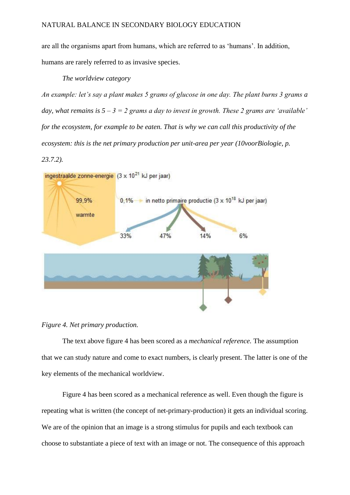are all the organisms apart from humans, which are referred to as 'humans'. In addition, humans are rarely referred to as invasive species.

## *The worldview category*

*An example: let's say a plant makes 5 grams of glucose in one day. The plant burns 3 grams a day, what remains is 5 – 3 = 2 grams a day to invest in growth. These 2 grams are 'available' for the ecosystem, for example to be eaten. That is why we can call this productivity of the ecosystem: this is the net primary production per unit-area per year (10voorBiologie, p. 23.7.2).*



## *Figure 4. Net primary production.*

The text above figure 4 has been scored as a *mechanical reference.* The assumption that we can study nature and come to exact numbers, is clearly present. The latter is one of the key elements of the mechanical worldview.

Figure 4 has been scored as a mechanical reference as well. Even though the figure is repeating what is written (the concept of net-primary-production) it gets an individual scoring. We are of the opinion that an image is a strong stimulus for pupils and each textbook can choose to substantiate a piece of text with an image or not. The consequence of this approach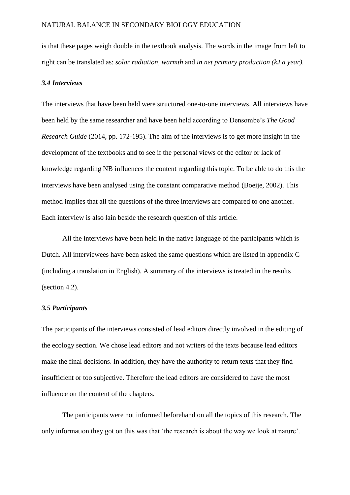is that these pages weigh double in the textbook analysis. The words in the image from left to right can be translated as: *solar radiation, warmth* and *in net primary production (kJ a year).*

## *3.4 Interviews*

The interviews that have been held were structured one-to-one interviews. All interviews have been held by the same researcher and have been held according to Densombe's *The Good Research Guide* (2014, pp. 172-195). The aim of the interviews is to get more insight in the development of the textbooks and to see if the personal views of the editor or lack of knowledge regarding NB influences the content regarding this topic. To be able to do this the interviews have been analysed using the constant comparative method (Boeije, 2002). This method implies that all the questions of the three interviews are compared to one another. Each interview is also lain beside the research question of this article.

All the interviews have been held in the native language of the participants which is Dutch. All interviewees have been asked the same questions which are listed in appendix C (including a translation in English). A summary of the interviews is treated in the results (section 4.2).

### *3.5 Participants*

The participants of the interviews consisted of lead editors directly involved in the editing of the ecology section. We chose lead editors and not writers of the texts because lead editors make the final decisions. In addition, they have the authority to return texts that they find insufficient or too subjective. Therefore the lead editors are considered to have the most influence on the content of the chapters.

The participants were not informed beforehand on all the topics of this research. The only information they got on this was that 'the research is about the way we look at nature'.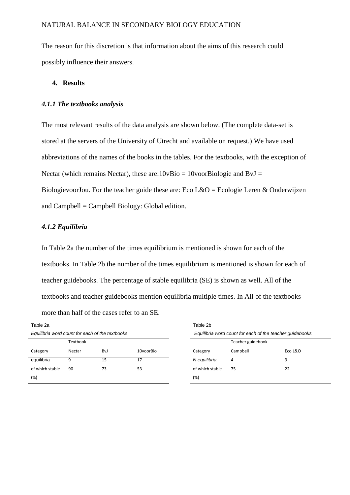The reason for this discretion is that information about the aims of this research could possibly influence their answers.

## **4. Results**

#### *4.1.1 The textbooks analysis*

The most relevant results of the data analysis are shown below. (The complete data-set is stored at the servers of the University of Utrecht and available on request.) We have used abbreviations of the names of the books in the tables. For the textbooks, with the exception of Nectar (which remains Nectar), these are: $10vBio = 10voorBiologie$  and BvJ = BiologievoorJou. For the teacher guide these are: Eco L&O = Ecologie Leren & Onderwijzen and  $Cambell = Campbell Biology: Global edition.$ 

## *4.1.2 Equilibria*

In Table 2a the number of the times equilibrium is mentioned is shown for each of the textbooks. In Table 2b the number of the times equilibrium is mentioned is shown for each of teacher guidebooks. The percentage of stable equilibria (SE) is shown as well. All of the textbooks and teacher guidebooks mention equilibria multiple times. In All of the textbooks more than half of the cases refer to an SE.

| Table 2a                                        |          |     |           | Table 2b                                                 |                   |         |
|-------------------------------------------------|----------|-----|-----------|----------------------------------------------------------|-------------------|---------|
| Equilibria word count for each of the textbooks |          |     |           | Equilibria word count for each of the teacher guidebooks |                   |         |
|                                                 | Textbook |     |           |                                                          | Teacher guidebook |         |
| Category                                        | Nectar   | BvJ | 10voorBio | Category                                                 | Campbell          | Eco L&O |
| equilibria                                      | 9        | 15  | 17        | N equilibria                                             | 4                 | q       |
| of which stable                                 | 90       | 73  | 53        | of which stable                                          | 75                | 22      |
| (%)                                             |          |     |           | (%)                                                      |                   |         |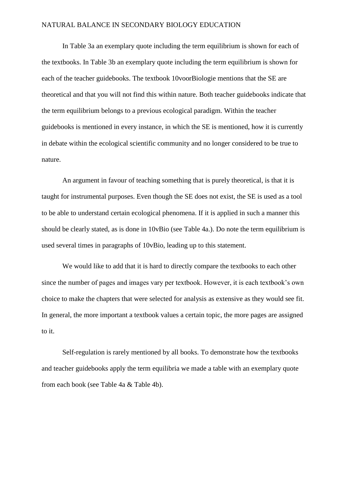In Table 3a an exemplary quote including the term equilibrium is shown for each of the textbooks. In Table 3b an exemplary quote including the term equilibrium is shown for each of the teacher guidebooks. The textbook 10voorBiologie mentions that the SE are theoretical and that you will not find this within nature. Both teacher guidebooks indicate that the term equilibrium belongs to a previous ecological paradigm. Within the teacher guidebooks is mentioned in every instance, in which the SE is mentioned, how it is currently in debate within the ecological scientific community and no longer considered to be true to nature.

An argument in favour of teaching something that is purely theoretical, is that it is taught for instrumental purposes. Even though the SE does not exist, the SE is used as a tool to be able to understand certain ecological phenomena. If it is applied in such a manner this should be clearly stated, as is done in 10vBio (see Table 4a.). Do note the term equilibrium is used several times in paragraphs of 10vBio, leading up to this statement.

We would like to add that it is hard to directly compare the textbooks to each other since the number of pages and images vary per textbook. However, it is each textbook's own choice to make the chapters that were selected for analysis as extensive as they would see fit. In general, the more important a textbook values a certain topic, the more pages are assigned to it.

Self-regulation is rarely mentioned by all books. To demonstrate how the textbooks and teacher guidebooks apply the term equilibria we made a table with an exemplary quote from each book (see Table 4a & Table 4b).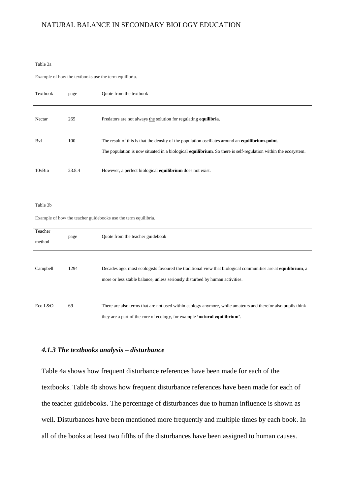#### Table 3a

Example of how the textbooks use the term equilibria.

| Textbook          | page   | Quote from the textbook                                                                                                                                                                                           |
|-------------------|--------|-------------------------------------------------------------------------------------------------------------------------------------------------------------------------------------------------------------------|
| Nectar            | 265    | Predators are not always the solution for regulating equilibria.                                                                                                                                                  |
| BvJ               | 100    | The result of this is that the density of the population oscillates around an equilibrium-point.<br>The population is now situated in a biological equilibrium. So there is self-regulation within the ecosystem. |
| 10vBio            | 23.8.4 | However, a perfect biological equilibrium does not exist.                                                                                                                                                         |
| Table 3b          |        | Example of how the teacher guidebooks use the term equilibria.                                                                                                                                                    |
| Teacher<br>method | page   | Quote from the teacher guidebook                                                                                                                                                                                  |
| Campbell          | 1294   | Decades ago, most ecologists favoured the traditional view that biological communities are at <b>equilibrium</b> , a<br>more or less stable balance, unless seriously disturbed by human activities.              |
| Eco L&O           | 69     | There are also terms that are not used within ecology anymore, while amateurs and therefor also pupils think<br>they are a part of the core of ecology, for example 'natural equilibrium'.                        |

### *4.1.3 The textbooks analysis – disturbance*

Table 4a shows how frequent disturbance references have been made for each of the textbooks. Table 4b shows how frequent disturbance references have been made for each of the teacher guidebooks. The percentage of disturbances due to human influence is shown as well. Disturbances have been mentioned more frequently and multiple times by each book. In all of the books at least two fifths of the disturbances have been assigned to human causes.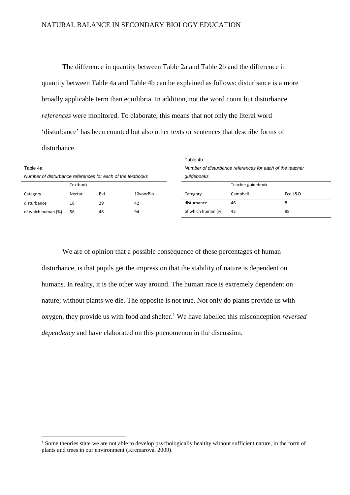The difference in quantity between Table 2a and Table 2b and the difference in quantity between Table 4a and Table 4b can be explained as follows: disturbance is a more broadly applicable term than equilibria. In addition, not the word count but disturbance *references* were monitored. To elaborate, this means that not only the literal word 'disturbance' has been counted but also other texts or sentences that describe forms of disturbance.

|                                                                        |        |     |           | Table 4b                                                               |          |         |
|------------------------------------------------------------------------|--------|-----|-----------|------------------------------------------------------------------------|----------|---------|
| Table 4a<br>Number of disturbance references for each of the textbooks |        |     |           | Number of disturbance references for each of the teacher<br>quidebooks |          |         |
|                                                                        |        |     |           |                                                                        |          |         |
| Category                                                               | Nectar | Bv. | 10voorBio | Category                                                               | Campbell | Eco L&O |
| disturbance                                                            | 18     | 29  | 42        | disturbance                                                            | 46       | 8       |
| of which human (%)                                                     | 56     | 48  | 94        | of which human (%)                                                     | 43       | 88      |

We are of opinion that a possible consequence of these percentages of human disturbance, is that pupils get the impression that the stability of nature is dependent on humans. In reality, it is the other way around. The human race is extremely dependent on nature; without plants we die. The opposite is not true. Not only do plants provide us with oxygen, they provide us with food and shelter. <sup>1</sup> We have labelled this misconception *reversed dependency* and have elaborated on this phenomenon in the discussion.

 $\overline{a}$ 

<sup>&</sup>lt;sup>1</sup> Some theories state we are not able to develop psychologically healthy without sufficient nature, in the form of plants and trees in our environment (Krcmarová, 2009).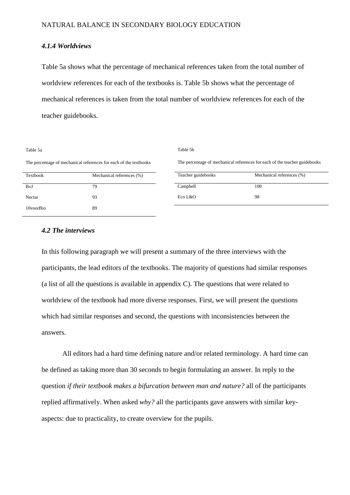## *4.1.4 Worldviews*

Table 5a shows what the percentage of mechanical references taken from the total number of worldview references for each of the textbooks is. Table 5b shows what the percentage of mechanical references is taken from the total number of worldview references for each of the teacher guidebooks.

#### Table 5a

Table 5b

The percentage of mechanical references for each of the textbooks

| Textbook  | Mechanical references (%) |
|-----------|---------------------------|
| BvJ       | 79                        |
| Nectar    | 93                        |
| 10voorBio | 89                        |

The percentage of mechanical references for each of the teacher guidebooks

| Teacher guidebooks | Mechanical references (%) |
|--------------------|---------------------------|
| Campbell           | 100                       |
| Eco L $\&$ O       | 98                        |

## *4.2 The interviews*

In this following paragraph we will present a summary of the three interviews with the participants, the lead editors of the textbooks. The majority of questions had similar responses (a list of all the questions is available in appendix C). The questions that were related to worldview of the textbook had more diverse responses. First, we will present the questions which had similar responses and second, the questions with inconsistencies between the answers.

All editors had a hard time defining nature and/or related terminology. A hard time can be defined as taking more than 30 seconds to begin formulating an answer. In reply to the question *if their textbook makes a bifurcation between man and nature?* all of the participants replied affirmatively. When asked *why?* all the participants gave answers with similar keyaspects: due to practicality, to create overview for the pupils.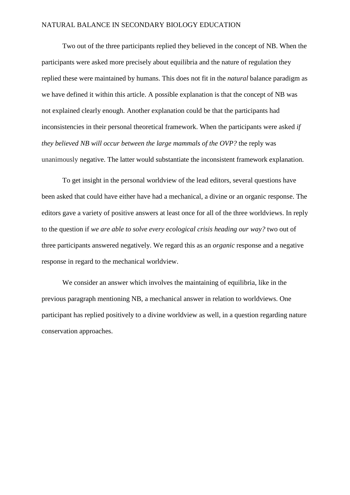Two out of the three participants replied they believed in the concept of NB. When the participants were asked more precisely about equilibria and the nature of regulation they replied these were maintained by humans. This does not fit in the *natural* balance paradigm as we have defined it within this article. A possible explanation is that the concept of NB was not explained clearly enough. Another explanation could be that the participants had inconsistencies in their personal theoretical framework. When the participants were asked *if they believed NB will occur between the large mammals of the OVP?* the reply was unanimously negative. The latter would substantiate the inconsistent framework explanation.

To get insight in the personal worldview of the lead editors, several questions have been asked that could have either have had a mechanical, a divine or an organic response. The editors gave a variety of positive answers at least once for all of the three worldviews. In reply to the question if *we are able to solve every ecological crisis heading our way?* two out of three participants answered negatively. We regard this as an *organic* response and a negative response in regard to the mechanical worldview.

We consider an answer which involves the maintaining of equilibria, like in the previous paragraph mentioning NB, a mechanical answer in relation to worldviews. One participant has replied positively to a divine worldview as well, in a question regarding nature conservation approaches.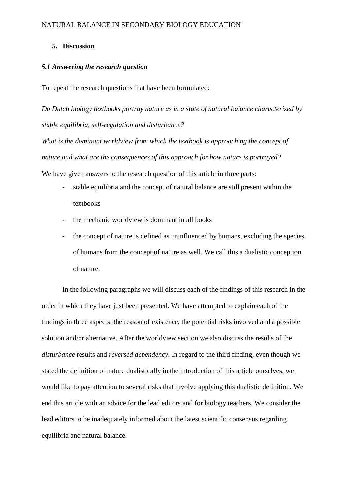## **5. Discussion**

## *5.1 Answering the research question*

To repeat the research questions that have been formulated:

*Do Dutch biology textbooks portray nature as in a state of natural balance characterized by stable equilibria, self-regulation and disturbance?*

*What is the dominant worldview from which the textbook is approaching the concept of nature and what are the consequences of this approach for how nature is portrayed?* 

We have given answers to the research question of this article in three parts:

- stable equilibria and the concept of natural balance are still present within the textbooks
- the mechanic worldview is dominant in all books
- the concept of nature is defined as uninfluenced by humans, excluding the species of humans from the concept of nature as well. We call this a dualistic conception of nature.

In the following paragraphs we will discuss each of the findings of this research in the order in which they have just been presented. We have attempted to explain each of the findings in three aspects: the reason of existence, the potential risks involved and a possible solution and/or alternative. After the worldview section we also discuss the results of the *disturbance* results and *reversed dependency.* In regard to the third finding, even though we stated the definition of nature dualistically in the introduction of this article ourselves, we would like to pay attention to several risks that involve applying this dualistic definition. We end this article with an advice for the lead editors and for biology teachers. We consider the lead editors to be inadequately informed about the latest scientific consensus regarding equilibria and natural balance.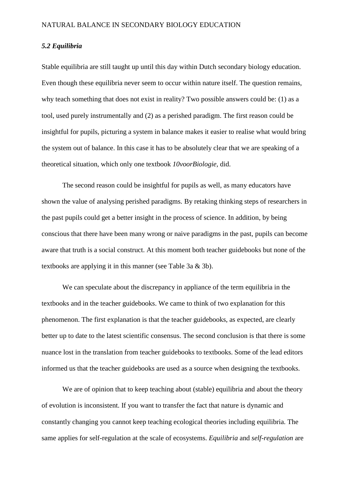## *5.2 Equilibria*

Stable equilibria are still taught up until this day within Dutch secondary biology education. Even though these equilibria never seem to occur within nature itself. The question remains, why teach something that does not exist in reality? Two possible answers could be: (1) as a tool, used purely instrumentally and (2) as a perished paradigm. The first reason could be insightful for pupils, picturing a system in balance makes it easier to realise what would bring the system out of balance. In this case it has to be absolutely clear that we are speaking of a theoretical situation, which only one textbook *10voorBiologie,* did.

The second reason could be insightful for pupils as well, as many educators have shown the value of analysing perished paradigms. By retaking thinking steps of researchers in the past pupils could get a better insight in the process of science. In addition, by being conscious that there have been many wrong or naive paradigms in the past, pupils can become aware that truth is a social construct. At this moment both teacher guidebooks but none of the textbooks are applying it in this manner (see Table 3a & 3b).

We can speculate about the discrepancy in appliance of the term equilibria in the textbooks and in the teacher guidebooks. We came to think of two explanation for this phenomenon. The first explanation is that the teacher guidebooks, as expected, are clearly better up to date to the latest scientific consensus. The second conclusion is that there is some nuance lost in the translation from teacher guidebooks to textbooks. Some of the lead editors informed us that the teacher guidebooks are used as a source when designing the textbooks.

We are of opinion that to keep teaching about (stable) equilibria and about the theory of evolution is inconsistent. If you want to transfer the fact that nature is dynamic and constantly changing you cannot keep teaching ecological theories including equilibria. The same applies for self-regulation at the scale of ecosystems. *Equilibria* and *self-regulation* are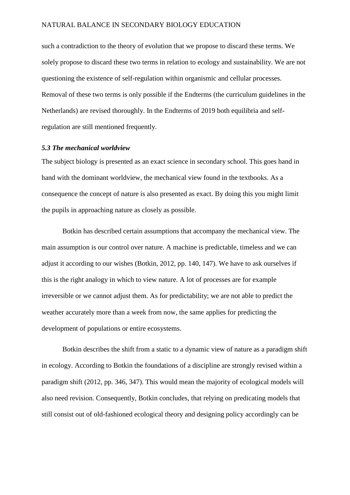such a contradiction to the theory of evolution that we propose to discard these terms. We solely propose to discard these two terms in relation to ecology and sustainability. We are not questioning the existence of self-regulation within organismic and cellular processes. Removal of these two terms is only possible if the Endterms (the curriculum guidelines in the Netherlands) are revised thoroughly. In the Endterms of 2019 both equilibria and selfregulation are still mentioned frequently.

## *5.3 The mechanical worldview*

The subject biology is presented as an exact science in secondary school. This goes hand in hand with the dominant worldview, the mechanical view found in the textbooks. As a consequence the concept of nature is also presented as exact. By doing this you might limit the pupils in approaching nature as closely as possible.

Botkin has described certain assumptions that accompany the mechanical view. The main assumption is our control over nature. A machine is predictable, timeless and we can adjust it according to our wishes (Botkin, 2012, pp. 140, 147). We have to ask ourselves if this is the right analogy in which to view nature. A lot of processes are for example irreversible or we cannot adjust them. As for predictability; we are not able to predict the weather accurately more than a week from now, the same applies for predicting the development of populations or entire ecosystems.

Botkin describes the shift from a static to a dynamic view of nature as a paradigm shift in ecology. According to Botkin the foundations of a discipline are strongly revised within a paradigm shift (2012, pp. 346, 347). This would mean the majority of ecological models will also need revision. Consequently, Botkin concludes, that relying on predicating models that still consist out of old-fashioned ecological theory and designing policy accordingly can be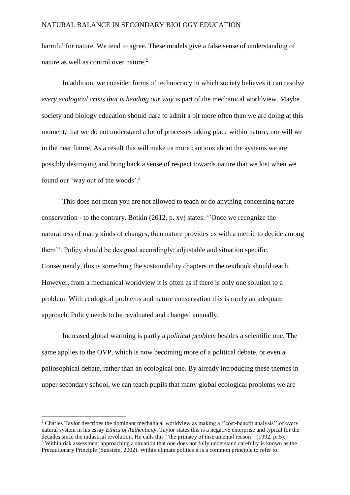harmful for nature. We tend to agree. These models give a false sense of understanding of nature as well as control over nature. 2

In addition, we consider forms of technocracy in which society believes it can resolve *every ecological crisis that is heading our way* is part of the mechanical worldview. Maybe society and biology education should dare to admit a bit more often than we are doing at this moment, that we do not understand a lot of processes taking place within nature, nor will we in the near future. As a result this will make us more cautious about the systems we are possibly destroying and bring back a sense of respect towards nature that we lost when we found our 'way out of the woods'.<sup>3</sup>

This does not mean you are not allowed to teach or do anything concerning nature conservation - to the contrary. Botkin (2012, p. xv) states: ''Once we recognize the naturalness of many kinds of changes, then nature provides us with a metric to decide among them''. Policy should be designed accordingly: adjustable and situation specific. Consequently, this is something the sustainability chapters in the textbook should teach. However, from a mechanical worldview it is often as if there is only one solution to a problem. With ecological problems and nature conservation this is rarely an adequate approach. Policy needs to be revaluated and changed annually.

Increased global warming is partly a *political problem* besides a scientific one. The same applies to the OVP, which is now becoming more of a political debate, or even a philosophical debate, rather than an ecological one. By already introducing these themes in upper secondary school, we can teach pupils that many global ecological problems we are

1

<sup>&</sup>lt;sup>2</sup> Charles Taylor describes the dominant mechanical worldview as making a "cost-benefit analysis" of every natural system in his essay *Ethics of Authenticity*. Taylor states this is a negative enterprise and typical for the decades since the industrial revolution. He calls this "the primacy of instrumental reason" (1992, p. 5). <sup>3</sup> Within risk assessment approaching a situation that one does not fully understand carefully is known as the

Precautionary Principle (Sunstein, 2002). Within climate politics it is a common principle to refer to.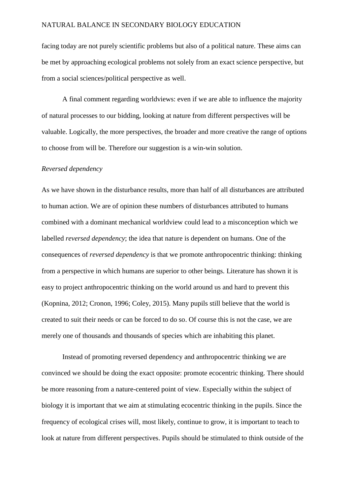facing today are not purely scientific problems but also of a political nature. These aims can be met by approaching ecological problems not solely from an exact science perspective, but from a social sciences/political perspective as well.

A final comment regarding worldviews: even if we are able to influence the majority of natural processes to our bidding, looking at nature from different perspectives will be valuable. Logically, the more perspectives, the broader and more creative the range of options to choose from will be. Therefore our suggestion is a win-win solution.

#### *Reversed dependency*

As we have shown in the disturbance results, more than half of all disturbances are attributed to human action. We are of opinion these numbers of disturbances attributed to humans combined with a dominant mechanical worldview could lead to a misconception which we labelled *reversed dependency*; the idea that nature is dependent on humans. One of the consequences of *reversed dependency* is that we promote anthropocentric thinking: thinking from a perspective in which humans are superior to other beings. Literature has shown it is easy to project anthropocentric thinking on the world around us and hard to prevent this (Kopnina, 2012; Cronon, 1996; Coley, 2015). Many pupils still believe that the world is created to suit their needs or can be forced to do so. Of course this is not the case, we are merely one of thousands and thousands of species which are inhabiting this planet.

Instead of promoting reversed dependency and anthropocentric thinking we are convinced we should be doing the exact opposite: promote ecocentric thinking. There should be more reasoning from a nature-centered point of view. Especially within the subject of biology it is important that we aim at stimulating ecocentric thinking in the pupils. Since the frequency of ecological crises will, most likely, continue to grow, it is important to teach to look at nature from different perspectives. Pupils should be stimulated to think outside of the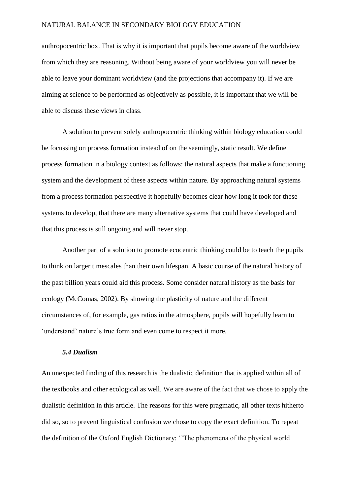anthropocentric box. That is why it is important that pupils become aware of the worldview from which they are reasoning. Without being aware of your worldview you will never be able to leave your dominant worldview (and the projections that accompany it). If we are aiming at science to be performed as objectively as possible, it is important that we will be able to discuss these views in class.

A solution to prevent solely anthropocentric thinking within biology education could be focussing on process formation instead of on the seemingly, static result. We define process formation in a biology context as follows: the natural aspects that make a functioning system and the development of these aspects within nature. By approaching natural systems from a process formation perspective it hopefully becomes clear how long it took for these systems to develop, that there are many alternative systems that could have developed and that this process is still ongoing and will never stop.

Another part of a solution to promote ecocentric thinking could be to teach the pupils to think on larger timescales than their own lifespan. A basic course of the natural history of the past billion years could aid this process. Some consider natural history as the basis for ecology (McComas, 2002). By showing the plasticity of nature and the different circumstances of, for example, gas ratios in the atmosphere, pupils will hopefully learn to 'understand' nature's true form and even come to respect it more.

## *5.4 Dualism*

An unexpected finding of this research is the dualistic definition that is applied within all of the textbooks and other ecological as well. We are aware of the fact that we chose to apply the dualistic definition in this article. The reasons for this were pragmatic, all other texts hitherto did so, so to prevent linguistical confusion we chose to copy the exact definition. To repeat the definition of the Oxford English Dictionary: ''The phenomena of the physical world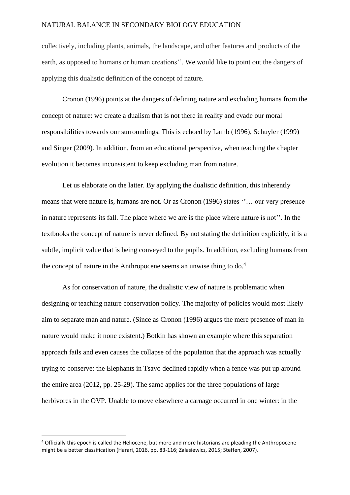collectively, including plants, animals, the landscape, and other features and products of the earth, as opposed to humans or human creations''. We would like to point out the dangers of applying this dualistic definition of the concept of nature.

Cronon (1996) points at the dangers of defining nature and excluding humans from the concept of nature: we create a dualism that is not there in reality and evade our moral responsibilities towards our surroundings. This is echoed by Lamb (1996), Schuyler (1999) and Singer (2009). In addition, from an educational perspective, when teaching the chapter evolution it becomes inconsistent to keep excluding man from nature.

Let us elaborate on the latter. By applying the dualistic definition, this inherently means that were nature is, humans are not. Or as Cronon (1996) states ''… our very presence in nature represents its fall. The place where we are is the place where nature is not''. In the textbooks the concept of nature is never defined. By not stating the definition explicitly, it is a subtle, implicit value that is being conveyed to the pupils. In addition, excluding humans from the concept of nature in the Anthropocene seems an unwise thing to do.<sup>4</sup>

As for conservation of nature, the dualistic view of nature is problematic when designing or teaching nature conservation policy. The majority of policies would most likely aim to separate man and nature. (Since as Cronon (1996) argues the mere presence of man in nature would make it none existent.) Botkin has shown an example where this separation approach fails and even causes the collapse of the population that the approach was actually trying to conserve: the Elephants in Tsavo declined rapidly when a fence was put up around the entire area (2012, pp. 25-29). The same applies for the three populations of large herbivores in the OVP. Unable to move elsewhere a carnage occurred in one winter: in the

**.** 

<sup>4</sup> Officially this epoch is called the Heliocene, but more and more historians are pleading the Anthropocene might be a better classification (Harari, 2016, pp. 83-116; Zalasiewicz, 2015; Steffen, 2007).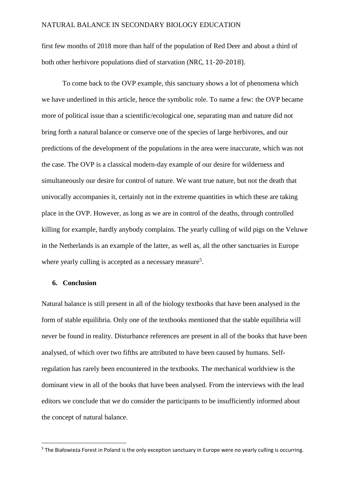first few months of 2018 more than half of the population of Red Deer and about a third of both other herbivore populations died of starvation (NRC, 11-20-2018).

To come back to the OVP example, this sanctuary shows a lot of phenomena which we have underlined in this article, hence the symbolic role. To name a few: the OVP became more of political issue than a scientific/ecological one, separating man and nature did not bring forth a natural balance or conserve one of the species of large herbivores, and our predictions of the development of the populations in the area were inaccurate, which was not the case. The OVP is a classical modern-day example of our desire for wilderness and simultaneously our desire for control of nature. We want true nature, but not the death that univocally accompanies it, certainly not in the extreme quantities in which these are taking place in the OVP. However, as long as we are in control of the deaths, through controlled killing for example, hardly anybody complains. The yearly culling of wild pigs on the Veluwe in the Netherlands is an example of the latter, as well as, all the other sanctuaries in Europe where yearly culling is accepted as a necessary measure<sup>5</sup>.

### **6. Conclusion**

1

Natural balance is still present in all of the biology textbooks that have been analysed in the form of stable equilibria. Only one of the textbooks mentioned that the stable equilibria will never be found in reality. Disturbance references are present in all of the books that have been analysed, of which over two fifths are attributed to have been caused by humans. Selfregulation has rarely been encountered in the textbooks. The mechanical worldview is the dominant view in all of the books that have been analysed. From the interviews with the lead editors we conclude that we do consider the participants to be insufficiently informed about the concept of natural balance.

<sup>&</sup>lt;sup>5</sup> The Białowieża Forest in Poland is the only exception sanctuary in Europe were no yearly culling is occurring.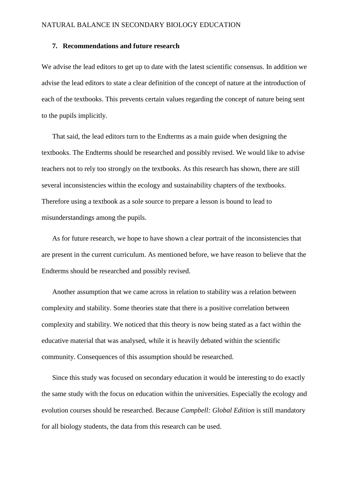## **7. Recommendations and future research**

We advise the lead editors to get up to date with the latest scientific consensus. In addition we advise the lead editors to state a clear definition of the concept of nature at the introduction of each of the textbooks. This prevents certain values regarding the concept of nature being sent to the pupils implicitly.

That said, the lead editors turn to the Endterms as a main guide when designing the textbooks. The Endterms should be researched and possibly revised. We would like to advise teachers not to rely too strongly on the textbooks. As this research has shown, there are still several inconsistencies within the ecology and sustainability chapters of the textbooks. Therefore using a textbook as a sole source to prepare a lesson is bound to lead to misunderstandings among the pupils.

As for future research, we hope to have shown a clear portrait of the inconsistencies that are present in the current curriculum. As mentioned before, we have reason to believe that the Endterms should be researched and possibly revised.

Another assumption that we came across in relation to stability was a relation between complexity and stability. Some theories state that there is a positive correlation between complexity and stability. We noticed that this theory is now being stated as a fact within the educative material that was analysed, while it is heavily debated within the scientific community. Consequences of this assumption should be researched.

Since this study was focused on secondary education it would be interesting to do exactly the same study with the focus on education within the universities. Especially the ecology and evolution courses should be researched. Because *Campbell: Global Edition* is still mandatory for all biology students, the data from this research can be used.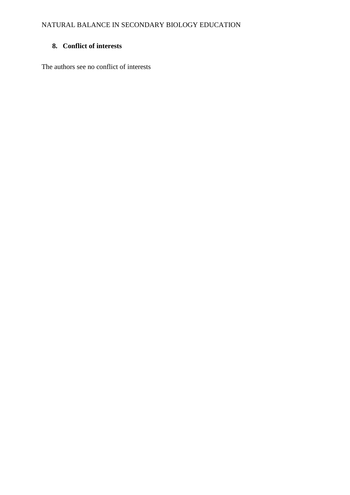# **8. Conflict of interests**

The authors see no conflict of interests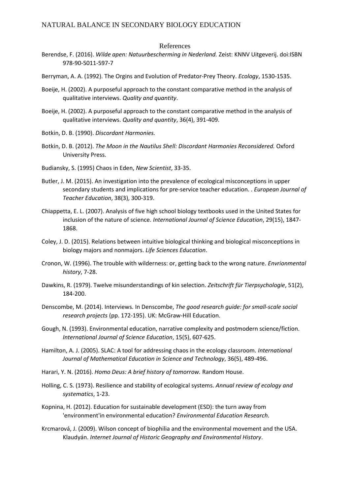#### References

- Berendse, F. (2016). *Wilde apen: Natuurbescherming in Nederland.* Zeist: KNNV Uitgeverij. doi:ISBN 978-90-5011-597-7
- Berryman, A. A. (1992). The Orgins and Evolution of Predator‐Prey Theory. *Ecology*, 1530-1535.
- Boeije, H. (2002). A purposeful approach to the constant comparative method in the analysis of qualitative interviews. *Quality and quantity*.
- Boeije, H. (2002). A purposeful approach to the constant comparative method in the analysis of qualitative interviews. *Quality and quantity*, 36(4), 391-409.
- Botkin, D. B. (1990). *Discordant Harmonies.*
- Botkin, D. B. (2012). *The Moon in the Nautilus Shell: Discordant Harmonies Reconsidered.* Oxford University Press.
- Budiansky, S. (1995) Chaos in Eden, *New Scientist*, 33-35.
- Butler, J. M. (2015). An investigation into the prevalence of ecological misconceptions in upper secondary students and implications for pre-service teacher education. . *European Journal of Teacher Education*, 38(3), 300-319.
- Chiappetta, E. L. (2007). Analysis of five high school biology textbooks used in the United States for inclusion of the nature of science. *International Journal of Science Education*, 29(15), 1847- 1868.
- Coley, J. D. (2015). Relations between intuitive biological thinking and biological misconceptions in biology majors and nonmajors. *Life Sciences Education*.
- Cronon, W. (1996). The trouble with wilderness: or, getting back to the wrong nature. *Envrionmental history*, 7-28.
- Dawkins, R. (1979). Twelve misunderstandings of kin selection. *Zeitschrift für Tierpsychologie*, 51(2), 184-200.
- Denscombe, M. (2014). Interviews. In Denscombe, *The good research guide: for small-scale social research projects* (pp. 172-195). UK: McGraw-Hill Education.
- Gough, N. (1993). Environmental education, narrative complexity and postmodern science/fiction. *International Journal of Science Education*, 15(5), 607-625.
- Hamilton, A. J. (2005). SLAC: A tool for addressing chaos in the ecology classroom. *International Journal of Mathematical Education in Science and Technology*, 36(5), 489-496.
- Harari, Y. N. (2016). *Homo Deus: A brief history of tomorrow.* Random House.
- Holling, C. S. (1973). Resilience and stability of ecological systems. *Annual review of ecology and systematics*, 1-23.
- Kopnina, H. (2012). Education for sustainable development (ESD): the turn away from 'environment'in environmental education? *Environmental Education Research*.
- Krcmarová, J. (2009). Wilson concept of biophilia and the environmental movement and the USA. Klaudyán. *Internet Journal of Historic Geography and Environmental History*.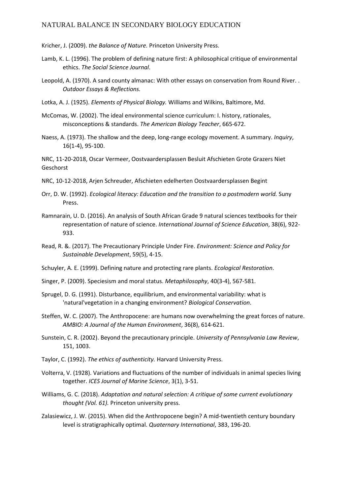Kricher, J. (2009). *the Balance of Nature.* Princeton University Press.

- Lamb, K. L. (1996). The problem of defining nature first: A philosophical critique of environmental ethics. *The Social Science Journal*.
- Leopold, A. (1970). A sand county almanac: With other essays on conservation from Round River. . *Outdoor Essays & Reflections.*
- Lotka, A. J. (1925). *Elements of Physical Biology.* Williams and Wilkins, Baltimore, Md.
- McComas, W. (2002). The ideal environmental science curriculum: I. history, rationales, misconceptions & standards. *The American Biology Teacher*, 665-672.
- Naess, A. (1973). The shallow and the deep, long‐range ecology movement. A summary. *Inquiry*, 16(1-4), 95-100.

NRC, 11-20-2018, Oscar Vermeer, Oostvaardersplassen Besluit Afschieten Grote Grazers Niet Geschorst

- NRC, 10-12-2018, Arjen Schreuder, Afschieten edelherten Oostvaardersplassen Begint
- Orr, D. W. (1992). *Ecological literacy: Education and the transition to a postmodern world.* Suny Press.
- Ramnarain, U. D. (2016). An analysis of South African Grade 9 natural sciences textbooks for their representation of nature of science. *International Journal of Science Education*, 38(6), 922- 933.
- Read, R. &. (2017). The Precautionary Principle Under Fire. *Environment: Science and Policy for Sustainable Development*, 59(5), 4-15.
- Schuyler, A. E. (1999). Defining nature and protecting rare plants. *Ecological Restoration*.
- Singer, P. (2009). Speciesism and moral status. *Metaphilosophy*, 40(3‐4), 567-581.
- Sprugel, D. G. (1991). Disturbance, equilibrium, and environmental variability: what is 'natural'vegetation in a changing environment? *Biological Conservation*.
- Steffen, W. C. (2007). The Anthropocene: are humans now overwhelming the great forces of nature. *AMBIO: A Journal of the Human Environment*, 36(8), 614-621.
- Sunstein, C. R. (2002). Beyond the precautionary principle. *University of Pennsylvania Law Review*, 151, 1003.
- Taylor, C. (1992). *The ethics of authenticity.* Harvard University Press.
- Volterra, V. (1928). Variations and fluctuations of the number of individuals in animal species living together. *ICES Journal of Marine Science*, 3(1), 3-51.
- Williams, G. C. (2018). *Adaptation and natural selection: A critique of some current evolutionary thought (Vol. 61).* Princeton university press.
- Zalasiewicz, J. W. (2015). When did the Anthropocene begin? A mid-twentieth century boundary level is stratigraphically optimal. *Quaternary International*, 383, 196-20.